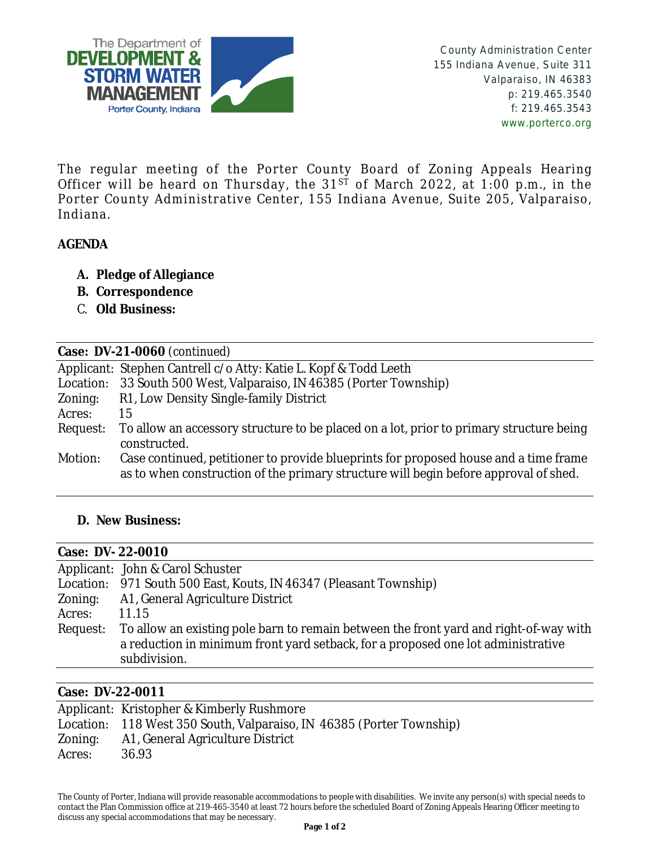

The regular meeting of the Porter County Board of Zoning Appeals Hearing Officer will be heard on Thursday, the  $31^{ST}$  of March 2022, at 1:00 p.m., in the Porter County Administrative Center, 155 Indiana Avenue, Suite 205, Valparaiso, Indiana.

# **AGENDA**

- **A. Pledge of Allegiance**
- **B. Correspondence**
- C. **Old Business:**

| Case: DV-21-0060 (continued) |                                                                                                                                                                              |  |
|------------------------------|------------------------------------------------------------------------------------------------------------------------------------------------------------------------------|--|
|                              | Applicant: Stephen Cantrell c/o Atty: Katie L. Kopf & Todd Leeth                                                                                                             |  |
| Location:                    | 33 South 500 West, Valparaiso, IN 46385 (Porter Township)                                                                                                                    |  |
| Zoning:                      | R1, Low Density Single-family District                                                                                                                                       |  |
| Acres:                       | 15                                                                                                                                                                           |  |
| Request:                     | To allow an accessory structure to be placed on a lot, prior to primary structure being<br>constructed.                                                                      |  |
| Motion:                      | Case continued, petitioner to provide blueprints for proposed house and a time frame<br>as to when construction of the primary structure will begin before approval of shed. |  |

### **D. New Business:**

| <b>Case: DV-22-0010</b> |                                                                                                                                                                                           |
|-------------------------|-------------------------------------------------------------------------------------------------------------------------------------------------------------------------------------------|
|                         | Applicant: John & Carol Schuster                                                                                                                                                          |
|                         | Location: 971 South 500 East, Kouts, IN 46347 (Pleasant Township)                                                                                                                         |
| Zoning:                 | A1, General Agriculture District                                                                                                                                                          |
| Acres:                  | 11.15                                                                                                                                                                                     |
| Request:                | To allow an existing pole barn to remain between the front yard and right-of-way with<br>a reduction in minimum front yard setback, for a proposed one lot administrative<br>subdivision. |

#### **Case: DV-22-0011**

|         | Applicant: Kristopher & Kimberly Rushmore                            |
|---------|----------------------------------------------------------------------|
|         | Location: 118 West 350 South, Valparaiso, IN 46385 (Porter Township) |
| Zoning: | A1, General Agriculture District                                     |
| Acres:  | 36.93                                                                |

The County of Porter, Indiana will provide reasonable accommodations to people with disabilities. We invite any person(s) with special needs to contact the Plan Commission office at 219-465-3540 at least 72 hours before the scheduled Board of Zoning Appeals Hearing Officer meeting to discuss any special accommodations that may be necessary.